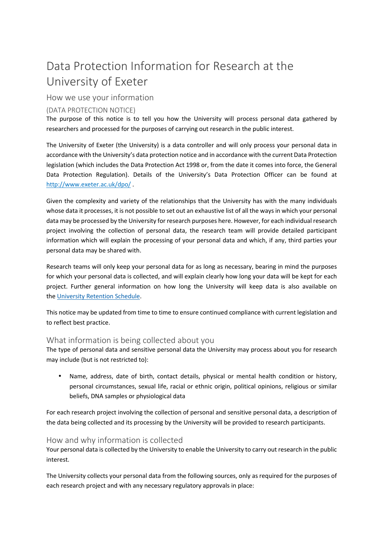# Data Protection Information for Research at the University of Exeter

# How we use your information

## (DATA PROTECTION NOTICE)

The purpose of this notice is to tell you how the University will process personal data gathered by researchers and processed for the purposes of carrying out research in the public interest.

The University of Exeter (the University) is a data controller and will only process your personal data in accordance with the University's data protection notice and in accordance with the current Data Protection legislation (which includes the Data Protection Act 1998 or, from the date it comes into force, the General Data Protection Regulation). Details of the University's Data Protection Officer can be found at http://www.exeter.ac.uk/dpo/ .

Given the complexity and variety of the relationships that the University has with the many individuals whose data it processes, it is not possible to set out an exhaustive list of all the ways in which your personal data may be processed by the University for research purposes here. However, for each individual research project involving the collection of personal data, the research team will provide detailed participant information which will explain the processing of your personal data and which, if any, third parties your personal data may be shared with.

Research teams will only keep your personal data for as long as necessary, bearing in mind the purposes for which your personal data is collected, and will explain clearly how long your data will be kept for each project. Further general information on how long the University will keep data is also available on the University Retention Schedule.

This notice may be updated from time to time to ensure continued compliance with current legislation and to reflect best practice.

## What information is being collected about you

The type of personal data and sensitive personal data the University may process about you for research may include (but is not restricted to):

• Name, address, date of birth, contact details, physical or mental health condition or history, personal circumstances, sexual life, racial or ethnic origin, political opinions, religious or similar beliefs, DNA samples or physiological data

For each research project involving the collection of personal and sensitive personal data, a description of the data being collected and its processing by the University will be provided to research participants.

## How and why information is collected

Your personal data is collected by the University to enable the University to carry out research in the public interest.

The University collects your personal data from the following sources, only as required for the purposes of each research project and with any necessary regulatory approvals in place: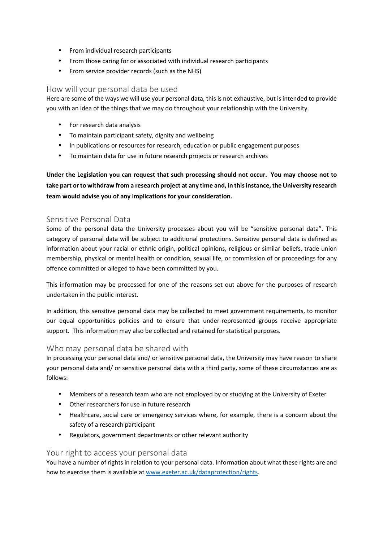- From individual research participants
- From those caring for or associated with individual research participants
- From service provider records (such as the NHS)

#### How will your personal data be used

Here are some of the ways we will use your personal data, this is not exhaustive, but is intended to provide you with an idea of the things that we may do throughout your relationship with the University.

- For research data analysis
- To maintain participant safety, dignity and wellbeing
- In publications or resources for research, education or public engagement purposes
- To maintain data for use in future research projects or research archives

**Under the Legislation you can request that such processing should not occur. You may choose not to take part or to withdraw from a research project at any time and, in this instance, the University research team would advise you of any implications for your consideration.** 

#### Sensitive Personal Data

Some of the personal data the University processes about you will be "sensitive personal data". This category of personal data will be subject to additional protections. Sensitive personal data is defined as information about your racial or ethnic origin, political opinions, religious or similar beliefs, trade union membership, physical or mental health or condition, sexual life, or commission of or proceedings for any offence committed or alleged to have been committed by you.

This information may be processed for one of the reasons set out above for the purposes of research undertaken in the public interest.

In addition, this sensitive personal data may be collected to meet government requirements, to monitor our equal opportunities policies and to ensure that under-represented groups receive appropriate support. This information may also be collected and retained for statistical purposes.

#### Who may personal data be shared with

In processing your personal data and/ or sensitive personal data, the University may have reason to share your personal data and/ or sensitive personal data with a third party, some of these circumstances are as follows:

- Members of a research team who are not employed by or studying at the University of Exeter
- Other researchers for use in future research
- Healthcare, social care or emergency services where, for example, there is a concern about the safety of a research participant
- Regulators, government departments or other relevant authority

#### Your right to access your personal data

You have a number of rights in relation to your personal data. Information about what these rights are and how to exercise them is available at www.exeter.ac.uk/dataprotection/rights.